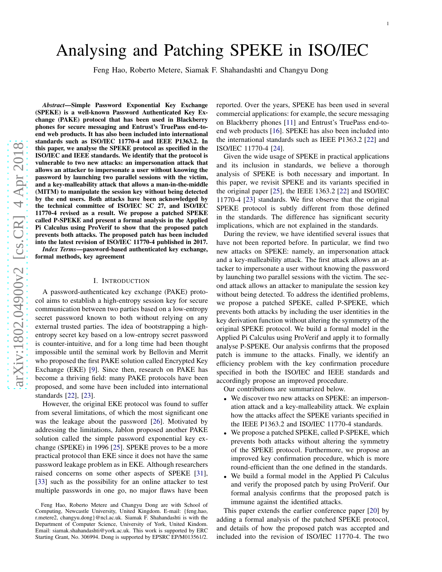# Analysing and Patching SPEKE in ISO/IEC

Feng Hao, Roberto Metere, Siamak F. Shahandashti and Changyu Dong

*Abstract*—Simple Password Exponential Key Exchange (SPEKE) is a well-known Password Authenticated Key Exchange (PAKE) protocol that has been used in Blackberry phones for secure messaging and Entrust's TruePass end-toend web products. It has also been included into international standards such as ISO/IEC 11770-4 and IEEE P1363.2. In this paper, we analyse the SPEKE protocol as specified in the ISO/IEC and IEEE standards. We identify that the protocol is vulnerable to two new attacks: an impersonation attack that allows an attacker to impersonate a user without knowing the password by launching two parallel sessions with the victim , and a key-malleability attack that allows a man-in-the-middle (MITM) to manipulate the session key without being detected by the end users. Both attacks have been acknowledged by the technical committee of ISO/IEC SC 27, and ISO/IEC 11770-4 revised as a result. We propose a patched SPEKE called P-SPEKE and present a formal analysis in the Applied Pi Calculus using ProVerif to show that the proposed patch prevents both attacks. The proposed patch has been included into the latest revision of ISO/IEC 11770-4 published in 2017. *Index Terms*—password-based authenticated key exchange, formal methods, key agreement

#### I. INTRODUCTION

A password-authenticated key exchange (PAKE) protocol aims to establish a high-entropy session key for secure communication between two parties based on a low-entropy secret password known to both without relying on any external trusted parties. The idea of bootstrapping a highentropy secret key based on a low-entropy secret password is counter-intuitive, and for a long time had been thought impossible until the seminal work by Bellovin and Merrit who proposed the first PAKE solution called Encrypted Key Exchange (EKE) [ [9\]](#page-10-0). Since then, research on PAKE has become a thriving field: many PAKE protocols have been proposed, and some have been included into international standards [\[22\]](#page-11-0), [\[23\]](#page-11-1).

However, the original EKE protocol was found to suffer from several limitations, of which the most significant one was the leakage about the password [\[26\]](#page-11-2). Motivated by addressing the limitations, Jablon proposed another PAKE solution called the simple password exponential key exchange (SPEKE) in 1996 [\[25\]](#page-11-3). SPEKE proves to be a more practical protocol than EKE since it does not have the same password leakage problem as in EKE. Although researchers raised concerns on some other aspects of SPEKE [\[31\]](#page-11-4), [\[33\]](#page-11-5) such as the possibility for an online attacker to test multiple passwords in one go, no major flaws have been reported. Over the years, SPEKE has been used in several commercial applications: for example, the secure messagin g on Blackberry phones [\[11\]](#page-10-1) and Entrust's TruePass end-toend web products [\[16\]](#page-10-2). SPEKE has also been included into the international standards such as IEEE P1363.2 [\[22\]](#page-11-0) and ISO/IEC 11770-4 [\[24\]](#page-11-6).

1

Given the wide usage of SPEKE in practical applications and its inclusion in standards, we believe a thorough analysis of SPEKE is both necessary and important. In this paper, we revisit SPEKE and its variants specified in the original paper [\[25\]](#page-11-3), the IEEE 1363.2 [\[22\]](#page-11-0) and ISO/IEC 11770-4 [\[23\]](#page-11-1) standards. We first observe that the original SPEKE protocol is subtly different from those defined in the standards. The difference has significant security implications, which are not explained in the standards.

During the review, we have identified several issues that have not been reported before. In particular, we find two new attacks on SPEKE: namely, an impersonation attack and a key-malleability attack. The first attack allows an attacker to impersonate a user without knowing the password by launching two parallel sessions with the victim. The second attack allows an attacker to manipulate the session key without being detected. To address the identified problems, we propose a patched SPEKE, called P-SPEKE, which prevents both attacks by including the user identities in th e key derivation function without altering the symmetry of th e original SPEKE protocol. We build a formal model in the Applied Pi Calculus using ProVerif and apply it to formally analyse P-SPEKE. Our analysis confirms that the proposed patch is immune to the attacks. Finally, we identify an efficiency problem with the key confirmation procedure specified in both the ISO/IEC and IEEE standards and accordingly propose an improved procedure.

Our contributions are summarized below.

- We discover two new attacks on SPEKE: an impersonation attack and a key-malleability attack. We explain how the attacks affect the SPEKE variants specified in the IEEE P1363.2 and ISO/IEC 11770-4 standards.
- We propose a patched SPEKE, called P-SPEKE, which prevents both attacks without altering the symmetry of the SPEKE protocol. Furthermore, we propose an improved key confirmation procedure, which is more round-efficient than the one defined in the standards.
- We build a formal model in the Applied Pi Calculus and verify the proposed patch by using ProVerif. Our formal analysis confirms that the proposed patch is immune against the identified attacks.

This paper extends the earlier conference paper [\[20\]](#page-11-7) by adding a formal analysis of the patched SPEKE protocol, and details of how the proposed patch was accepted and included into the revision of ISO/IEC 11770-4. The two

Feng Hao, Roberto Metere and Changyu Dong are with School of Computing, Newcastle University, United Kingdom. E-mail: {feng.hao, r.metere2, changyu.dong}@ncl.ac.uk. Siamak F. Shahandashti is with the Department of Computer Science, University of York, United Kindom. Email: siamak.shahandashti@york.ac.uk. This work is supported by ERC Starting Grant, No. 306994. Dong is supported by EPSRC EP/M013561/2.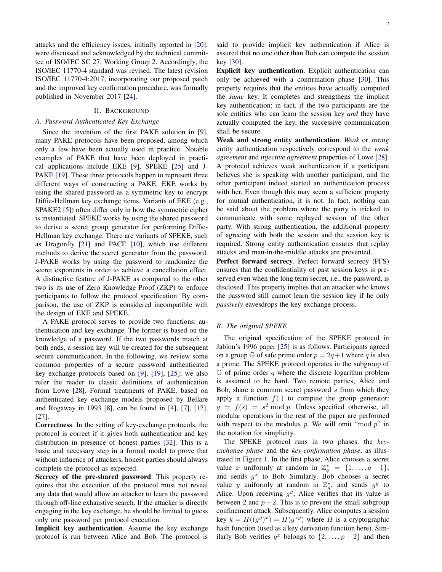attacks and the efficiency issues, initially reported in [\[20\]](#page-11-7), were discussed and acknowledged by the technical committee of ISO/IEC SC 27, Working Group 2. Accordingly, the ISO/IEC 11770-4 standard was revised. The latest revision ISO/IEC 11770-4:2017, incorporating our proposed patch and the improved key confirmation procedure, was formally published in November 2017 [\[24\]](#page-11-6).

## II. BACKGROUND

## *A. Password Authenticated Key Exchange*

Since the invention of the first PAKE solution in [\[9\]](#page-10-0), many PAKE protocols have been proposed, among which only a few have been actually used in practice. Notable examples of PAKE that have been deployed in practical applications include EKE [\[9\]](#page-10-0), SPEKE [\[25\]](#page-11-3) and J-PAKE [\[19\]](#page-11-8). These three protocols happen to represent three different ways of constructing a PAKE. EKE works by using the shared password as a symmetric key to encrypt Diffie-Hellman key exchange items. Variants of EKE (e.g., SPAKE2 [\[5\]](#page-10-3)) often differ only in how the symmetric cipher is instantiated. SPEKE works by using the shared password to derive a secret group generator for performing Diffie-Hellman key exchange. There are variants of SPEKE, such as Dragonfly [\[21\]](#page-11-9) and PACE [\[10\]](#page-10-4), which use different methods to derive the secret generator from the password. J-PAKE works by using the password to randomize the secret exponents in order to achieve a cancellation effect. A distinctive feature of J-PAKE as compared to the other two is its use of Zero Knowledge Proof (ZKP) to enforce participants to follow the protocol specification. By comparison, the use of ZKP is considered incompatible with the design of EKE and SPEKE.

A PAKE protocol serves to provide two functions: authentication and key exchange. The former is based on the knowledge of a password. If the two passwords match at both ends, a session key will be created for the subsequent secure communication. In the following, we review some common properties of a secure password authenticated key exchange protocols based on [\[9\]](#page-10-0), [\[19\]](#page-11-8), [\[25\]](#page-11-3); we also refer the reader to classic definitions of authentication from Lowe [\[28\]](#page-11-10). Formal treatments of PAKE, based on authenticated key exchange models proposed by Bellare and Rogaway in 1993 [\[8\]](#page-10-5), can be found in [\[4\]](#page-10-6), [\[7\]](#page-10-7), [\[17\]](#page-10-8), [\[27\]](#page-11-11).

Correctness. In the setting of key-exchange protocols, the protocol is correct if it gives both authentication and key distribution in presence of honest parties [\[32\]](#page-11-12). This is a basic and necessary step in a formal model to prove that without influence of attackers, honest parties should always complete the protocol as expected.

Secrecy of the pre-shared password. This property requires that the execution of the protocol must not reveal any data that would allow an attacker to learn the password through off-line exhaustive search. If the attacker is directly engaging in the key exchange, he should be limited to guess only one password per protocol execution.

Implicit key authentication. Assume the key exchange protocol is run between Alice and Bob. The protocol is

said to provide implicit key authentication if Alice is assured that no one other than Bob can compute the session key [\[30\]](#page-11-13).

Explicit key authentication. Explicit authentication can only be achieved with a confirmation phase [\[30\]](#page-11-13). This property requires that the entities have actually computed the *same* key. It completes and strengthens the implicit key authentication; in fact, if the two participants are the sole entities who can learn the session key *and* they have actually computed the key, the successive communication shall be secure.

Weak and strong entity authentication. *Weak* or *strong* entity authentication respectively correspond to the *weak agreement* and *injective agreement* properties of Lowe [\[28\]](#page-11-10). A protocol achieves weak authentication if a participant believes she is speaking with another participant, and the other participant indeed started an authentication process with her. Even though this may seem a sufficient property for mutual authentication, it is not. In fact, nothing can be said about the problem where the party is tricked to communicate with some replayed session of the other party. With strong authentication, the additional property of agreeing with both the session and the session key is required. Strong entity authentication ensures that replay attacks and man-in-the-middle attacks are prevented.

Perfect forward secrecy. Perfect forward secrecy (PFS) ensures that the confidentiality of past session keys is preserved even when the long term secret, i.e., the password, is disclosed. This property implies that an attacker who knows the password still cannot learn the session key if he only *passively* eavesdrops the key exchange process.

## *B. The original SPEKE*

The original specification of the SPEKE protocol in Jablon's 1996 paper [\[25\]](#page-11-3) is as follows. Participants agreed on a group G of safe prime order  $p = 2q+1$  where q is also a prime. The SPEKE protocol operates in the subgroup of  $G$  of prime order q where the discrete logarithm problem is assumed to be hard. Two remote parties, Alice and Bob, share a common secret password  $s$  from which they apply a function  $f(.)$  to compute the group generator:  $g = f(s) = s^2 \mod p$ . Unless specified otherwise, all modular operations in the rest of the paper are performed with respect to the modulus  $p$ . We will omit "mod  $p$ " in the notation for simplicity.

The SPEKE protocol runs in two phases: the *keyexchange phase* and the *key-confirmation phase*, as illustrated in Figure [1.](#page-2-0) In the first phase, Alice chooses a secret value x uniformly at random in  $\mathbb{Z}_q^* = \{1, \ldots, q-1\},\$ and sends  $g^x$  to Bob. Similarly, Bob chooses a secret value y uniformly at random in  $\mathbb{Z}_q^*$ , and sends  $g^y$  to Alice. Upon receiving  $g<sup>y</sup>$ , Alice verifies that its value is between 2 and  $p-2$ . This is to prevent the small subgroup confinement attack. Subsequently, Alice computes a session key  $k = H((g^y)^x) = H(g^{xy})$  where H is a cryptographic hash function (used as a key derivation function here). Similarly Bob verifies  $g^x$  belongs to  $\{2, \ldots, p-2\}$  and then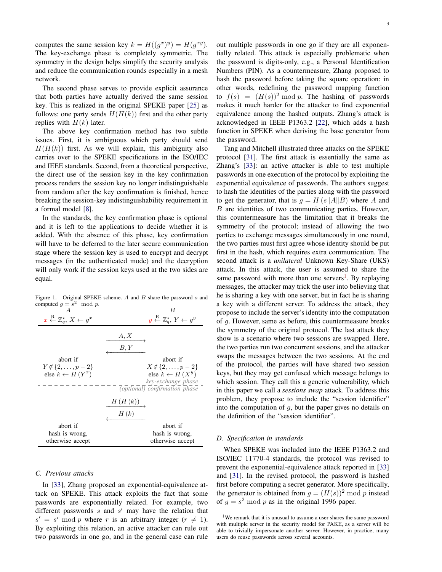computes the same session key  $k = H((g^x)^y) = H(g^{xy})$ . The key-exchange phase is completely symmetric. The symmetry in the design helps simplify the security analysis and reduce the communication rounds especially in a mesh network.

The second phase serves to provide explicit assurance that both parties have actually derived the same session key. This is realized in the original SPEKE paper [\[25\]](#page-11-3) as follows: one party sends  $H(H(k))$  first and the other party replies with  $H(k)$  later.

The above key confirmation method has two subtle issues. First, it is ambiguous which party should send  $H(H(k))$  first. As we will explain, this ambiguity also carries over to the SPEKE specifications in the ISO/IEC and IEEE standards. Second, from a theoretical perspective, the direct use of the session key in the key confirmation process renders the session key no longer indistinguishable from random after the key confirmation is finished, hence breaking the session-key indistinguishability requirement in a formal model [\[8\]](#page-10-5).

In the standards, the key confirmation phase is optional and it is left to the applications to decide whether it is added. With the absence of this phase, key confirmation will have to be deferred to the later secure communication stage where the session key is used to encrypt and decrypt messages (in the authenticated mode) and the decryption will only work if the session keys used at the two sides are equal.

Figure 1. Original SPEKE scheme. A and B share the password s and computed  $g = s^2 \mod p$ .

<span id="page-2-0"></span>

| $x \stackrel{\text{R}}{\leftarrow} \mathbb{Z}_q^{\star}, X \leftarrow g^x$ | $y \stackrel{\text{R}}{\leftarrow} \mathbb{Z}_q^{\star}, Y \leftarrow q^y$                                                                   |
|----------------------------------------------------------------------------|----------------------------------------------------------------------------------------------------------------------------------------------|
| abort if<br>$Y \notin \{2,\ldots,p-2\}$<br>else $k \leftarrow H(Y^x)$      | A, X<br>B, Y<br>abort if<br>$X \notin \{2,\ldots,p-2\}$<br>else $k \leftarrow H(X^y)$<br>key-exchange phase<br>(optional) confirmation phase |
|                                                                            | H(H(k))<br>H(k)                                                                                                                              |
| abort if<br>hash is wrong,<br>otherwise accept                             | abort if<br>hash is wrong,<br>otherwise accept                                                                                               |

## *C. Previous attacks*

In [\[33\]](#page-11-5), Zhang proposed an exponential-equivalence attack on SPEKE. This attack exploits the fact that some passwords are exponentially related. For example, two different passwords  $s$  and  $s'$  may have the relation that  $s' = s^r \mod p$  where r is an arbitrary integer  $(r \neq 1)$ . By exploiting this relation, an active attacker can rule out two passwords in one go, and in the general case can rule

out multiple passwords in one go if they are all exponentially related. This attack is especially problematic when the password is digits-only, e.g., a Personal Identification Numbers (PIN). As a countermeasure, Zhang proposed to hash the password before taking the square operation: in other words, redefining the password mapping function to  $f(s) = (H(s))^2 \mod p$ . The hashing of passwords makes it much harder for the attacker to find exponential equivalence among the hashed outputs. Zhang's attack is acknowledged in IEEE P1363.2 [\[22\]](#page-11-0), which adds a hash function in SPEKE when deriving the base generator from the password.

Tang and Mitchell illustrated three attacks on the SPEKE protocol [\[31\]](#page-11-4). The first attack is essentially the same as Zhang's [\[33\]](#page-11-5): an active attacker is able to test multiple passwords in one execution of the protocol by exploiting the exponential equivalence of passwords. The authors suggest to hash the identities of the parties along with the password to get the generator, that is  $q = H(s||A||B)$  where A and B are identities of two communicating parties. However, this countermeasure has the limitation that it breaks the symmetry of the protocol; instead of allowing the two parties to exchange messages simultaneously in one round, the two parties must first agree whose identity should be put first in the hash, which requires extra communication. The second attack is a *unilateral* Unknown Key-Share (UKS) attack. In this attack, the user is assumed to share the same password with more than one servers<sup>[1](#page-2-1)</sup>. By replaying messages, the attacker may trick the user into believing that he is sharing a key with one server, but in fact he is sharing a key with a different server. To address the attack, they propose to include the server's identity into the computation of g. However, same as before, this countermeasure breaks the symmetry of the original protocol. The last attack they show is a scenario where two sessions are swapped. Here, the two parties run two concurrent sessions, and the attacker swaps the messages between the two sessions. At the end of the protocol, the parties will have shared two session keys, but they may get confused which message belongs to which session. They call this a generic vulnerability, which in this paper we call a *sessions swap* attack. To address this problem, they propose to include the "session identifier" into the computation of  $q$ , but the paper gives no details on the definition of the "session identifier".

#### <span id="page-2-2"></span>*D. Specification in standards*

When SPEKE was included into the IEEE P1363.2 and ISO/IEC 11770-4 standards, the protocol was revised to prevent the exponential-equivalence attack reported in [\[33\]](#page-11-5) and [\[31\]](#page-11-4). In the revised protocol, the password is hashed first before computing a secret generator. More specifically, the generator is obtained from  $q = (H(s))^2 \text{ mod } p$  instead of  $g = s^2 \mod p$  as in the original 1996 paper.

<span id="page-2-1"></span><sup>&</sup>lt;sup>1</sup>We remark that it is unusual to assume a user shares the same password with multiple server in the security model for PAKE, as a server will be able to trivially impersonate another server. However, in practice, many users do reuse passwords across several accounts.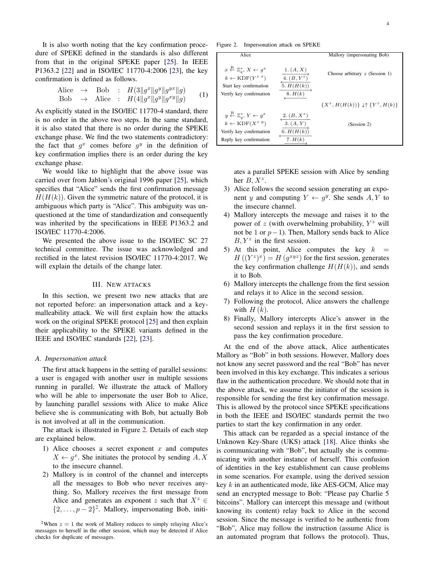It is also worth noting that the key confirmation procedure of SPEKE defined in the standards is also different from that in the original SPEKE paper [\[25\]](#page-11-3). In IEEE P1363.2 [\[22\]](#page-11-0) and in ISO/IEC 11770-4:2006 [\[23\]](#page-11-1), the key confirmation is defined as follows.

$$
\begin{array}{rcl}\n\text{Alice} & \rightarrow & \text{Bob} & : & H(3||g^x||g^y||g^{yx}||g) \\
\text{Bob} & \rightarrow & \text{Alice} & : & H(4||g^x||g^y||g^{xy}||g)\n\end{array} \tag{1}
$$

As explicitly stated in the ISO/IEC 11770-4 standard, there is no order in the above two steps. In the same standard, it is also stated that there is no order during the SPEKE exchange phase. We find the two statements contradictory: the fact that  $g^x$  comes before  $g^y$  in the definition of key confirmation implies there is an order during the key exchange phase.

We would like to highlight that the above issue was carried over from Jablon's original 1996 paper [\[25\]](#page-11-3), which specifies that "Alice" sends the first confirmation message  $H(H(k))$ . Given the symmetric nature of the protocol, it is ambiguous which party is "Alice". This ambiguity was unquestioned at the time of standardization and consequently was inherited by the specifications in IEEE P1363.2 and ISO/IEC 11770-4:2006.

We presented the above issue to the ISO/IEC SC 27 technical committee. The issue was acknowledged and rectified in the latest revision ISO/IEC 11770-4:2017. We will explain the details of the change later.

## III. NEW ATTACKS

<span id="page-3-3"></span>In this section, we present two new attacks that are not reported before: an impersonation attack and a keymalleability attack. We will first explain how the attacks work on the original SPEKE protocol [\[25\]](#page-11-3) and then explain their applicability to the SPEKE variants defined in the IEEE and ISO/IEC standards [\[22\]](#page-11-0), [\[23\]](#page-11-1).

#### <span id="page-3-2"></span>*A. Impersonation attack*

The first attack happens in the setting of parallel sessions: a user is engaged with another user in multiple sessions running in parallel. We illustrate the attack of Mallory who will be able to impersonate the user Bob to Alice, by launching parallel sessions with Alice to make Alice believe she is communicating with Bob, but actually Bob is not involved at all in the communication.

The attack is illustrated in Figure [2.](#page-3-0) Details of each step are explained below.

- 1) Alice chooses a secret exponent  $x$  and computes  $X \leftarrow g^x$ . She initiates the protocol by sending A, X to the insecure channel.
- 2) Mallory is in control of the channel and intercepts all the messages to Bob who never receives anything. So, Mallory receives the first message from Alice and generates an exponent z such that  $X^z \in$  $\{2,\ldots,p-2\}^2$  $\{2,\ldots,p-2\}^2$  $\{2,\ldots,p-2\}^2$ . Mallory, impersonating Bob, initi-

Figure 2. Impersonation attack on SPEKE

<span id="page-3-0"></span>

| Alice                                                                                                                                      |                                                                              | Mallory (impersonating Bob)                          |  |  |  |  |  |
|--------------------------------------------------------------------------------------------------------------------------------------------|------------------------------------------------------------------------------|------------------------------------------------------|--|--|--|--|--|
| $x \stackrel{\text{R}}{\leftarrow} \mathbb{Z}_q^*, X \leftarrow g^x$<br>$k \leftarrow \text{KDF}(Y^{z \cdot x})$<br>Start key confirmation | $\frac{1.\left(A,X\right)}{4.\left(B,Y^z\right)}$<br>$\mathfrak{S}. H(H(k))$ | Choose arbitrary $z$ (Session 1)                     |  |  |  |  |  |
| Verify key confirmation                                                                                                                    | 8. H(k)                                                                      |                                                      |  |  |  |  |  |
|                                                                                                                                            |                                                                              | $\{X^z, H(H(k))\}\downarrow \uparrow \{Y^z, H(k)\}\$ |  |  |  |  |  |
| $y \stackrel{\text{R}}{\leftarrow} \mathbb{Z}_q^*, Y \leftarrow g^x$                                                                       | 2. $(B, X^z)$                                                                |                                                      |  |  |  |  |  |
| $k \leftarrow \text{KDF}(X^{z \cdot y})$                                                                                                   | 3. (A, Y)                                                                    | (Session 2)                                          |  |  |  |  |  |
| Verify key confirmation                                                                                                                    | 6. $H(H(k))$                                                                 |                                                      |  |  |  |  |  |
| Reply key confirmation                                                                                                                     | 7. H(k)                                                                      |                                                      |  |  |  |  |  |

ates a parallel SPEKE session with Alice by sending her  $B, X^z$ .

- 3) Alice follows the second session generating an exponent y and computing  $Y \leftarrow g^y$ . She sends  $A, Y$  to the insecure channel.
- 4) Mallory intercepts the message and raises it to the power of  $z$  (with overwhelming probability,  $Y^z$  will not be 1 or  $p-1$ ). Then, Mallory sends back to Alice  $B, Y^z$  in the first session.
- 5) At this point, Alice computes the key  $k =$  $H((Y^z)^x) = H(g^{xyz})$  for the first session, generates the key confirmation challenge  $H(H(k))$ , and sends it to Bob.
- 6) Mallory intercepts the challenge from the first session and relays it to Alice in the second session.
- 7) Following the protocol, Alice answers the challenge with  $H(k)$ .
- 8) Finally, Mallory intercepts Alice's answer in the second session and replays it in the first session to pass the key confirmation procedure.

At the end of the above attack, Alice authenticates Mallory as "Bob" in both sessions. However, Mallory does not know any secret password and the real "Bob" has never been involved in this key exchange. This indicates a serious flaw in the authentication procedure. We should note that in the above attack, we assume the initiator of the session is responsible for sending the first key confirmation message. This is allowed by the protocol since SPEKE specifications in both the IEEE and ISO/IEC standards permit the two parties to start the key confirmation in any order.

This attack can be regarded as a special instance of the Unknown Key-Share (UKS) attack [\[18\]](#page-10-9). Alice thinks she is communicating with "Bob", but actually she is communicating with another instance of herself. This confusion of identities in the key establishment can cause problems in some scenarios. For example, using the derived session key  $k$  in an authenticated mode, like AES-GCM, Alice may send an encrypted message to Bob: "Please pay Charlie 5 bitcoins". Mallory can intercept this message and (without knowing its content) relay back to Alice in the second session. Since the message is verified to be authentic from "Bob", Alice may follow the instruction (assume Alice is an automated program that follows the protocol). Thus,

<span id="page-3-1"></span><sup>&</sup>lt;sup>2</sup>When  $z = 1$  the work of Mallory reduces to simply relaying Alice's messages to herself in the other session, which may be detected if Alice checks for duplicate of messages.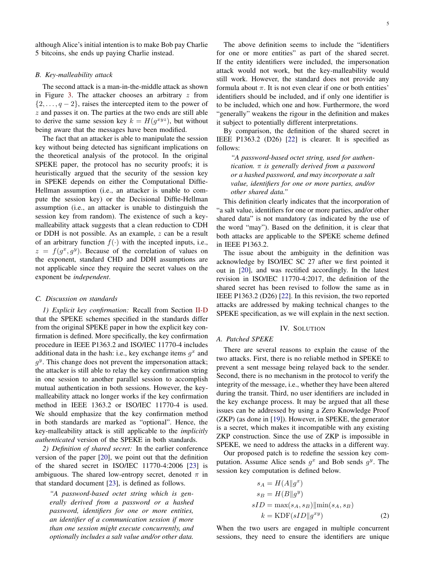although Alice's initial intention is to make Bob pay Charlie 5 bitcoins, she ends up paying Charlie instead.

## <span id="page-4-1"></span>*B. Key-malleability attack*

The second attack is a man-in-the-middle attack as shown in Figure [3.](#page-5-0) The attacker chooses an arbitrary  $z$  from  $\{2, \ldots, q-2\}$ , raises the intercepted item to the power of  $z$  and passes it on. The parties at the two ends are still able to derive the same session key  $k = H(g^{xyz})$ , but without being aware that the messages have been modified.

The fact that an attacker is able to manipulate the session key without being detected has significant implications on the theoretical analysis of the protocol. In the original SPEKE paper, the protocol has no security proofs; it is heuristically argued that the security of the session key in SPEKE depends on either the Computational Diffie-Hellman assumption (i.e., an attacker is unable to compute the session key) or the Decisional Diffie-Hellman assumption (i.e., an attacker is unable to distinguish the session key from random). The existence of such a keymalleability attack suggests that a clean reduction to CDH or DDH is not possible. As an example,  $z$  can be a result of an arbitrary function  $f(\cdot)$  with the incepted inputs, i.e.,  $z = f(g^x, g^y)$ . Because of the correlation of values on the exponent, standard CHD and DDH assumptions are not applicable since they require the secret values on the exponent be *independent*.

#### *C. Discussion on standards*

*1) Explicit key confirmation:* Recall from Section [II-D](#page-2-2) that the SPEKE schemes specified in the standards differ from the original SPEKE paper in how the explicit key confirmation is defined. More specifically, the key confirmation procedure in IEEE P1363.2 and ISO/IEC 11770-4 includes additional data in the hash: i.e., key exchange items  $g^x$  and  $g<sup>y</sup>$ . This change does not prevent the impersonation attack; the attacker is still able to relay the key confirmation string in one session to another parallel session to accomplish mutual authentication in both sessions. However, the keymalleability attack no longer works if the key confirmation method in IEEE 1363.2 or ISO/IEC 11770-4 is used. We should emphasize that the key confirmation method in both standards are marked as "optional". Hence, the key-malleability attack is still applicable to the *implicitly authenticated* version of the SPEKE in both standards.

*2) Definition of shared secret:* In the earlier conference version of the paper [\[20\]](#page-11-7), we point out that the definition of the shared secret in ISO/IEC 11770-4:2006 [\[23\]](#page-11-1) is ambiguous. The shared low-entropy secret, denoted  $\pi$  in that standard document [\[23\]](#page-11-1), is defined as follows.

*"A password-based octet string which is generally derived from a password or a hashed password, identifiers for one or more entities, an identifier of a communication session if more than one session might execute concurrently, and optionally includes a salt value and/or other data.*

The above definition seems to include the "identifiers for one or more entities" as part of the shared secret. If the entity identifiers were included, the impersonation attack would not work, but the key-malleability would still work. However, the standard does not provide any formula about  $\pi$ . It is not even clear if one or both entities' identifiers should be included, and if only one identifier is to be included, which one and how. Furthermore, the word "generally" weakens the rigour in the definition and makes it subject to potentially different interpretations.

By comparison, the definition of the shared secret in IEEE P1363.2 (D26) [\[22\]](#page-11-0) is clearer. It is specified as follows:

*"A password-based octet string, used for authentication.* π *is generally derived from a password or a hashed password, and may incorporate a salt value, identifiers for one or more parties, and/or other shared data."*

This definition clearly indicates that the incorporation of "a salt value, identifiers for one or more parties, and/or other shared data" is not mandatory (as indicated by the use of the word "may"). Based on the definition, it is clear that both attacks are applicable to the SPEKE scheme defined in IEEE P1363.2.

The issue about the ambiguity in the definition was acknowledge by ISO/IEC SC 27 after we first pointed it out in [\[20\]](#page-11-7), and was rectified accordingly. In the latest revision in ISO/IEC 11770-4:2017, the definition of the shared secret has been revised to follow the same as in IEEE P1363.2 (D26) [\[22\]](#page-11-0). In this revision, the two reported attacks are addressed by making technical changes to the SPEKE specification, as we will explain in the next section.

## IV. SOLUTION

## *A. Patched SPEKE*

There are several reasons to explain the cause of the two attacks. First, there is no reliable method in SPEKE to prevent a sent message being relayed back to the sender. Second, there is no mechanism in the protocol to verify the integrity of the message, i.e., whether they have been altered during the transit. Third, no user identifiers are included in the key exchange process. It may be argued that all these issues can be addressed by using a Zero Knowledge Proof (ZKP) (as done in [\[19\]](#page-11-8)). However, in SPEKE, the generator is a secret, which makes it incompatible with any existing ZKP construction. Since the use of ZKP is impossible in SPEKE, we need to address the attacks in a different way.

Our proposed patch is to redefine the session key computation. Assume Alice sends  $g^x$  and Bob sends  $g^y$ . The session key computation is defined below.

<span id="page-4-0"></span>
$$
s_A = H(A||gx)
$$
  
\n
$$
s_B = H(B||gy)
$$
  
\n
$$
sID = \max(s_A, s_B) || \min(s_A, s_B)
$$
  
\n
$$
k = \text{KDF}(sID||gxy)
$$
\n(2)

When the two users are engaged in multiple concurrent sessions, they need to ensure the identifiers are unique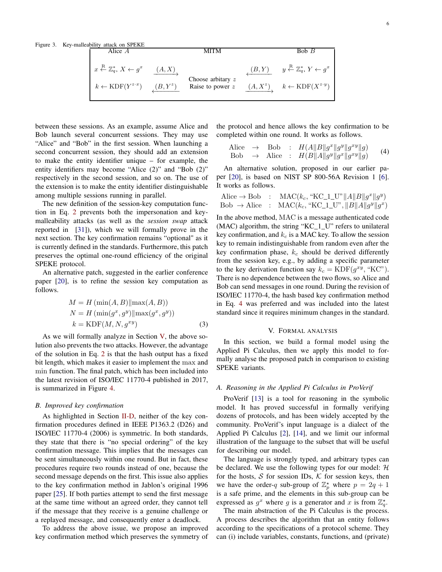<span id="page-5-0"></span>

| Alice A                                                                                                          |                    |                                         | $Boh$ $B$                                                                                                                            |
|------------------------------------------------------------------------------------------------------------------|--------------------|-----------------------------------------|--------------------------------------------------------------------------------------------------------------------------------------|
| $x \stackrel{\text{R}}{\leftarrow} \mathbb{Z}_q^*, X \leftarrow g^x$<br>$k \leftarrow \text{KDF}(Y^{z \cdot x})$ | (A,X)<br>$(B,Y^z)$ | Choose arbitary z<br>Raise to power $z$ | $(B, Y)$ $y \stackrel{\text{R}}{\leftarrow} \mathbb{Z}_q^*, Y \leftarrow g^x$<br>$(A, X^z)$ $k \leftarrow \text{KDF}(X^{z \cdot y})$ |
|                                                                                                                  |                    |                                         |                                                                                                                                      |

between these sessions. As an example, assume Alice and Bob launch several concurrent sessions. They may use "Alice" and "Bob" in the first session. When launching a second concurrent session, they should add an extension to make the entity identifier unique – for example, the entity identifiers may become "Alice (2)" and "Bob (2)" respectively in the second session, and so on. The use of the extension is to make the entity identifier distinguishable among multiple sessions running in parallel.

The new definition of the session-key computation function in Eq. [2](#page-4-0) prevents both the impersonation and keymalleability attacks (as well as the *session swap* attack reported in [\[31\]](#page-11-4)), which we will formally prove in the next section. The key confirmation remains "optional" as it is currently defined in the standards. Furthermore, this patch preserves the optimal one-round efficiency of the original SPEKE protocol.

An alternative patch, suggested in the earlier conference paper [\[20\]](#page-11-7), is to refine the session key computation as follows.

$$
M = H(\min(A, B)||\max(A, B))
$$
  
\n
$$
N = H(\min(g^x, g^y)||\max(g^x, g^y))
$$
  
\n
$$
k = \text{KDF}(M, N, g^{xy})
$$
\n(3)

As we will formally analyze in Section [V,](#page-5-1) the above solution also prevents the two attacks. However, the advantage of the solution in Eq. [2](#page-4-0) is that the hash output has a fixed bit length, which makes it easier to implement the max and min function. The final patch, which has been included into the latest revision of ISO/IEC 11770-4 published in 2017, is summarized in Figure [4.](#page-6-0)

#### *B. Improved key confirmation*

As highlighted in Section [II-D,](#page-2-2) neither of the key confirmation procedures defined in IEEE P1363.2 (D26) and ISO/IEC 11770-4 (2006) is symmetric. In both standards, they state that there is "no special ordering" of the key confirmation message. This implies that the messages can be sent simultaneously within one round. But in fact, these procedures require two rounds instead of one, because the second message depends on the first. This issue also applies to the key confirmation method in Jablon's original 1996 paper [\[25\]](#page-11-3). If both parties attempt to send the first message at the same time without an agreed order, they cannot tell if the message that they receive is a genuine challenge or a replayed message, and consequently enter a deadlock.

To address the above issue, we propose an improved key confirmation method which preserves the symmetry of the protocol and hence allows the key confirmation to be completed within one round. It works as follows.

<span id="page-5-2"></span>Alice 
$$
\rightarrow
$$
 Bob :  $H(A||B||g^x||g^y||g^{xy}||g)$   
Bob  $\rightarrow$  Alice :  $H(B||A||g^y||g^x||g^x||g)$  (4)

An alternative solution, proposed in our earlier paper [\[20\]](#page-11-7), is based on NIST SP 800-56A Revision 1 [\[6\]](#page-10-10). It works as follows.

$$
\begin{array}{lll}\n\text{Alice} \rightarrow \text{Bob} & : & \text{MAC}(k_c, \text{``KC\_1\_U"} \|A\|B\|g^x\|g^y) \\
\text{Bob} \rightarrow \text{Alice} & : & \text{MAC}(k_c, \text{``KC\_1\_U"} , \|B\|A\|g^y\|g^x)\n\end{array}
$$

In the above method, MAC is a message authenticated code (MAC) algorithm, the string "KC\_1\_U" refers to unilateral key confirmation, and  $k_c$  is a MAC key. To allow the session key to remain indistinguishable from random even after the key confirmation phase,  $k_c$  should be derived differently from the session key, e.g., by adding a specific parameter to the key derivation function say  $k_c = \text{KDF}(g^{xy}, \text{``KC''}).$ There is no dependence between the two flows, so Alice and Bob can send messages in one round. During the revision of ISO/IEC 11770-4, the hash based key confirmation method in Eq. [4](#page-5-2) was preferred and was included into the latest standard since it requires minimum changes in the standard.

## V. FORMAL ANALYSIS

<span id="page-5-1"></span>In this section, we build a formal model using the Applied Pi Calculus, then we apply this model to formally analyse the proposed patch in comparison to existing SPEKE variants.

#### *A. Reasoning in the Applied Pi Calculus in ProVerif*

ProVerif [\[13\]](#page-10-11) is a tool for reasoning in the symbolic model. It has proved successful in formally verifying dozens of protocols, and has been widely accepted by the community. ProVerif's input language is a dialect of the Applied Pi Calculus [\[2\]](#page-10-12), [\[14\]](#page-10-13), and we limit our informal illustration of the language to the subset that will be useful for describing our model.

The language is strongly typed, and arbitrary types can be declared. We use the following types for our model:  $H$ for the hosts,  $S$  for session IDs,  $K$  for session keys, then we have the order-q sub-group of  $\mathbb{Z}_p^{\star}$  where  $p = 2q + 1$ is a safe prime, and the elements in this sub-group can be expressed as  $g^x$  where g is a generator and x is from  $\mathbb{Z}_q^*$ .

The main abstraction of the Pi Calculus is the process. A process describes the algorithm that an entity follows according to the specifications of a protocol scheme. They can (i) include variables, constants, functions, and (private)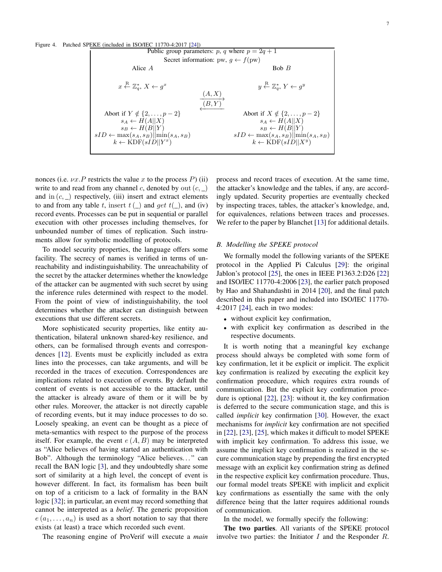## Figure 4. Patched SPEKE (included in ISO/IEC 11770-4:2017 [\[24\]](#page-11-6))

<span id="page-6-0"></span>

nonces (i.e.  $\nu x.P$  restricts the value x to the process P) (ii) write to and read from any channel c, denoted by out  $(c, \_)$ and in  $(c, \_)$  respectively, (iii) insert and extract elements to and from any table t, insert  $t(\_)$  and  $get t(\_)$ , and (iv) record events. Processes can be put in sequential or parallel execution with other processes including themselves, for unbounded number of times of replication. Such instruments allow for symbolic modelling of protocols.

To model security properties, the language offers some facility. The secrecy of names is verified in terms of unreachability and indistinguishability. The unreachability of the secret by the attacker determines whether the knowledge of the attacker can be augmented with such secret by using the inference rules determined with respect to the model. From the point of view of indistinguishability, the tool determines whether the attacker can distinguish between executions that use different secrets.

More sophisticated security properties, like entity authentication, bilateral unknown shared-key resilience, and others, can be formalised through events and correspondences [\[12\]](#page-10-14). Events must be explicitly included as extra lines into the processes, can take arguments, and will be recorded in the traces of execution. Correspondences are implications related to execution of events. By default the content of events is not accessible to the attacker, until the attacker is already aware of them or it will be by other rules. Moreover, the attacker is not directly capable of recording events, but it may induce processes to do so. Loosely speaking, an event can be thought as a piece of meta-semantics with respect to the purpose of the process itself. For example, the event  $e(A, B)$  may be interpreted as "Alice believes of having started an authentication with Bob". Although the terminology "Alice believes..." can recall the BAN logic [\[3\]](#page-10-15), and they undoubtedly share some sort of similarity at a high level, the concept of event is however different. In fact, its formalism has been built on top of a criticism to a lack of formality in the BAN logic [\[32\]](#page-11-12); in particular, an event may record something that cannot be interpreted as a *belief*. The generic proposition  $e(a_1, \ldots, a_n)$  is used as a short notation to say that there exists (at least) a trace which recorded such event.

The reasoning engine of ProVerif will execute a *main*

process and record traces of execution. At the same time, the attacker's knowledge and the tables, if any, are accordingly updated. Security properties are eventually checked by inspecting traces, tables, the attacker's knowledge, and, for equivalences, relations between traces and processes. We refer to the paper by Blanchet [\[13\]](#page-10-11) for additional details.

#### *B. Modelling the SPEKE protocol*

We formally model the following variants of the SPEKE protocol in the Applied Pi Calculus [\[29\]](#page-11-14): the original Jablon's protocol [\[25\]](#page-11-3), the ones in IEEE P1363.2:D26 [\[22\]](#page-11-0) and ISO/IEC 11770-4:2006 [\[23\]](#page-11-1), the earlier patch proposed by Hao and Shahandashti in 2014 [\[20\]](#page-11-7), and the final patch described in this paper and included into ISO/IEC 11770- 4:2017 [\[24\]](#page-11-6), each in two modes:

- without explicit key confirmation,
- with explicit key confirmation as described in the respective documents.

It is worth noting that a meaningful key exchange process should always be completed with some form of key confirmation, let it be explicit or implicit. The explicit key confirmation is realized by executing the explicit key confirmation procedure, which requires extra rounds of communication. But the explicit key confirmation procedure is optional [\[22\]](#page-11-0), [\[23\]](#page-11-1): without it, the key confirmation is deferred to the secure communication stage, and this is called *implicit* key confirmation [\[30\]](#page-11-13). However, the exact mechanisms for *implicit* key confirmation are not specified in [\[22\]](#page-11-0), [\[23\]](#page-11-1), [\[25\]](#page-11-3), which makes it difficult to model SPEKE with implicit key confirmation. To address this issue, we assume the implicit key confirmation is realized in the secure communication stage by prepending the first encrypted message with an explicit key confirmation string as defined in the respective explicit key confirmation procedure. Thus, our formal model treats SPEKE with implicit and explicit key confirmations as essentially the same with the only difference being that the latter requires additional rounds of communication.

In the model, we formally specify the following:

The two parties. All variants of the SPEKE protocol involve two parties: the Initiator  $I$  and the Responder  $R$ .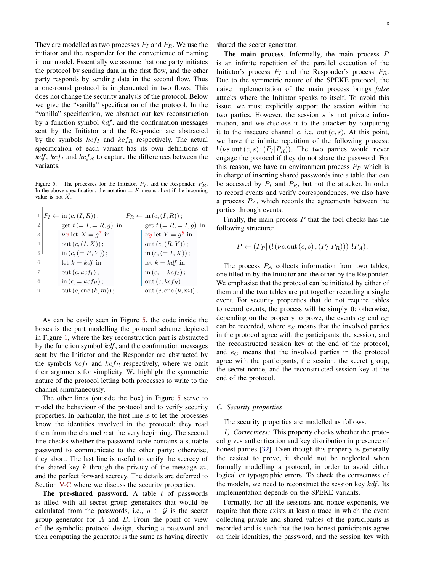They are modelled as two processes  $P_I$  and  $P_R$ . We use the initiator and the responder for the convenience of naming in our model. Essentially we assume that one party initiates the protocol by sending data in the first flow, and the other party responds by sending data in the second flow. Thus a one-round protocol is implemented in two flows. This does not change the security analysis of the protocol. Below we give the "vanilla" specification of the protocol. In the "vanilla" specification, we abstract out key reconstruction by a function symbol  $kdf$ , and the confirmation messages sent by the Initiator and the Responder are abstracted by the symbols  $kcf_I$  and  $kcf_R$  respectively. The actual specification of each variant has its own definitions of  $kdf$ ,  $kcf_I$  and  $kcf_R$  to capture the differences between the variants.

<span id="page-7-0"></span>Figure 5. The processes for the Initiator,  $P_I$ , and the Responder,  $P_R$ . In the above specification, the notation  $=X$  means abort if the incoming value is not X.

 $\overline{1}$ 

|                | $1   P_I \leftarrow \text{in}(c, (I, R))$ ; | $P_R \leftarrow \text{in}(c,(I,R))$ ; |
|----------------|---------------------------------------------|---------------------------------------|
| $\overline{2}$ | get $t (= I, = R, g)$ in                    | get $t (= R = I, g)$ in               |
| 3              | $\nu x$ let $X = q^x$ in                    | $\nu y$ let $Y = q^y$ in              |
| $\overline{4}$ | out $(c, (I, X))$ ;                         | out $(c, (R, Y))$ ;                   |
| 5              | in $(c, (= R, Y))$ ;                        | in $(c, (= I, X))$ ;                  |
| 6              | let $k = kdf$ in                            | let $k = kdf$ in                      |
|                | out $(c, kcf_I)$ ;                          | in $(c, = kcf_I);$                    |
| 8              | in $(c, = kcf_R)$ ;                         | out $(c, kcf_R)$ ;                    |
| 9              | out $(c, \text{enc}(k, m))$ ;               | out $(c, \text{enc}(k, m))$ ;         |

As can be easily seen in Figure [5,](#page-7-0) the code inside the boxes is the part modelling the protocol scheme depicted in Figure [1,](#page-2-0) where the key reconstruction part is abstracted by the function symbol  $kdf$ , and the confirmation messages sent by the Initiator and the Responder are abstracted by the symbols  $kcf_I$  and  $kcf_R$  respectively, where we omit their arguments for simplicity. We highlight the symmetric nature of the protocol letting both processes to write to the channel simultaneously.

The other lines (outside the box) in Figure [5](#page-7-0) serve to model the behaviour of the protocol and to verify security properties. In particular, the first line is to let the processes know the identities involved in the protocol; they read them from the channel  $c$  at the very beginning. The second line checks whether the password table contains a suitable password to communicate to the other party; otherwise, they abort. The last line is useful to verify the secrecy of the shared key  $k$  through the privacy of the message  $m$ , and the perfect forward secrecy. The details are deferred to Section [V-C](#page-7-1) where we discuss the security properties.

The pre-shared password. A table  $t$  of passwords is filled with all secret group generators that would be calculated from the passwords, i.e.,  $g \in \mathcal{G}$  is the secret group generator for  $A$  and  $B$ . From the point of view of the symbolic protocol design, sharing a password and then computing the generator is the same as having directly

shared the secret generator.

The main process. Informally, the main process  $P$ is an infinite repetition of the parallel execution of the Initiator's process  $P_I$  and the Responder's process  $P_R$ . Due to the symmetric nature of the SPEKE protocol, the naive implementation of the main process brings *false* attacks where the Initiator speaks to itself. To avoid this issue, we must explicitly support the session within the two parties. However, the session  $s$  is not private information, and we disclose it to the attacker by outputting it to the insecure channel c, i.e. out  $(c, s)$ . At this point, we have the infinite repetition of the following process:  $!(\nu s.out (c, s) ; (P_I | P_R))$ . The two parties would never engage the protocol if they do not share the password. For this reason, we have an environment process  $P_P$  which is in charge of inserting shared passwords into a table that can be accessed by  $P_I$  and  $P_R$ , but not the attacker. In order to record events and verify correspondences, we also have a process  $P_A$ , which records the agreements between the parties through events.

Finally, the main process  $P$  that the tool checks has the following structure:

$$
P \leftarrow (P_P | (!(\nu s.out(c, s); (P_I | P_R))) | !P_A).
$$

The process  $P_A$  collects information from two tables, one filled in by the Initiator and the other by the Responder. We emphasise that the protocol can be initiated by either of them and the two tables are put together recording a single event. For security properties that do not require tables to record events, the process will be simply 0; otherwise, depending on the property to prove, the events  $e_S$  end  $e_C$ can be recorded, where  $e_S$  means that the involved parties in the protocol agree with the participants, the session, and the reconstructed session key at the end of the protocol, and  $e_C$  means that the involved parties in the protocol agree with the participants, the session, the secret group, the secret nonce, and the reconstructed session key at the end of the protocol.

## <span id="page-7-1"></span>*C. Security properties*

The security properties are modelled as follows.

*1) Correctness:* This property checks whether the protocol gives authentication and key distribution in presence of honest parties [\[32\]](#page-11-12). Even though this property is generally the easiest to prove, it should not be neglected when formally modelling a protocol, in order to avoid either logical or typographic errors. To check the correctness of the models, we need to reconstruct the session key  $kdf$ . Its implementation depends on the SPEKE variants.

Formally, for all the sessions and nonce exponents, we require that there exists at least a trace in which the event collecting private and shared values of the participants is recorded and is such that the two honest participants agree on their identities, the password, and the session key with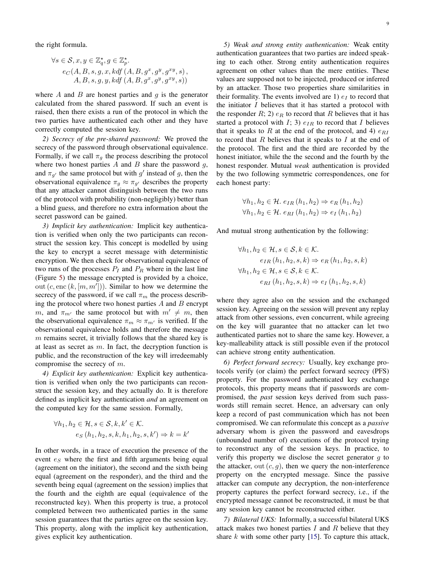the right formula.

$$
\forall s \in \mathcal{S}, x, y \in \mathbb{Z}_q^{\star}, g \in \mathbb{Z}_p^{\star}.
$$
  
\n
$$
e_C(A, B, s, g, x, kdf (A, B, g^x, g^y, g^{xy}, s),
$$
  
\n
$$
A, B, s, g, y, kdf (A, B, g^x, g^y, g^{xy}, s))
$$

where A and B are honest parties and  $q$  is the generator calculated from the shared password. If such an event is raised, then there exists a run of the protocol in which the two parties have authenticated each other and they have correctly computed the session key.

*2) Secrecy of the pre-shared password:* We proved the secrecy of the password through observational equivalence. Formally, if we call  $\pi_q$  the process describing the protocol where two honest parties  $A$  and  $B$  share the password  $q$ , and  $\pi_{g'}$  the same protocol but with  $g'$  instead of g, then the observational equivalence  $\pi_q \approx \pi_{q'}$  describes the property that any attacker cannot distinguish between the two runs of the protocol with probability (non-negligibly) better than a blind guess, and therefore no extra information about the secret password can be gained.

*3) Implicit key authentication:* Implicit key authentication is verified when only the two participants can reconstruct the session key. This concept is modelled by using the key to encrypt a secret message with deterministic encryption. We then check for observational equivalence of two runs of the processes  $P_I$  and  $P_R$  where in the last line (Figure [5\)](#page-7-0) the message encrypted is provided by a choice, out  $(c, \text{enc}(k, [m, m']) )$ . Similar to how we determine the secrecy of the password, if we call  $\pi_m$  the process describing the protocol where two honest parties  $A$  and  $B$  encrypt m, and  $\pi_{m'}$  the same protocol but with  $m' \neq m$ , then the observational equivalence  $\pi_m \approx \pi_{m'}$  is verified. If the observational equivalence holds and therefore the message  $m$  remains secret, it trivially follows that the shared key is at least as secret as  $m$ . In fact, the decryption function is public, and the reconstruction of the key will irredeemably compromise the secrecy of m.

*4) Explicit key authentication:* Explicit key authentication is verified when only the two participants can reconstruct the session key, and they actually do. It is therefore defined as implicit key authentication *and* an agreement on the computed key for the same session. Formally,

$$
\forall h_1, h_2 \in \mathcal{H}, s \in \mathcal{S}, k, k' \in \mathcal{K}.
$$
  

$$
e_S(h_1, h_2, s, k, h_1, h_2, s, k') \Rightarrow k = k'
$$

In other words, in a trace of execution the presence of the event  $e_S$  where the first and fifth arguments being equal (agreement on the initiator), the second and the sixth being equal (agreement on the responder), and the third and the seventh being equal (agreement on the session) implies that the fourth and the eighth are equal (equivalence of the reconstructed key). When this property is true, a protocol completed between two authenticated parties in the same session guarantees that the parties agree on the session key. This property, along with the implicit key authentication, gives explicit key authentication.

*5) Weak and strong entity authentication:* Weak entity authentication guarantees that two parties are indeed speaking to each other. Strong entity authentication requires agreement on other values than the mere entities. These values are supposed not to be injected, produced or inferred by an attacker. Those two properties share similarities in their formality. The events involved are 1)  $e_I$  to record that the initiator  $I$  believes that it has started a protocol with the responder R; 2)  $e_R$  to record that R believes that it has started a protocol with  $I$ ; 3)  $e_{IR}$  to record that  $I$  believes that it speaks to R at the end of the protocol, and 4)  $e_{RI}$ to record that  $R$  believes that it speaks to  $I$  at the end of the protocol. The first and the third are recorded by the honest initiator, while the the second and the fourth by the honest responder. Mutual *weak* authentication is provided by the two following symmetric correspondences, one for each honest party:

$$
\forall h_1, h_2 \in \mathcal{H}.\ e_{IR}(h_1, h_2) \Rightarrow e_R(h_1, h_2)
$$

$$
\forall h_1, h_2 \in \mathcal{H}.\ e_{RI}(h_1, h_2) \Rightarrow e_I(h_1, h_2)
$$

And mutual strong authentication by the following:

$$
\forall h_1, h_2 \in \mathcal{H}, s \in \mathcal{S}, k \in \mathcal{K}.
$$

$$
e_{IR}(h_1, h_2, s, k) \Rightarrow e_R(h_1, h_2, s, k)
$$

$$
\forall h_1, h_2 \in \mathcal{H}, s \in \mathcal{S}, k \in \mathcal{K}.
$$

$$
e_{RI}(h_1, h_2, s, k) \Rightarrow e_I(h_1, h_2, s, k)
$$

where they agree also on the session and the exchanged session key. Agreeing on the session will prevent any replay attack from other sessions, even concurrent, while agreeing on the key will guarantee that no attacker can let two authenticated parties not to share the same key. However, a key-malleability attack is still possible even if the protocol can achieve strong entity authentication.

*6) Perfect forward secrecy:* Usually, key exchange protocols verify (or claim) the perfect forward secrecy (PFS) property. For the password authenticated key exchange protocols, this property means that if passwords are compromised, the *past* session keys derived from such passwords still remain secret. Hence, an adversary can only keep a record of past communication which has not been compromised. We can reformulate this concept as a *passive* adversary whom is given the password and eavesdrops (unbounded number of) executions of the protocol trying to reconstruct any of the session keys. In practice, to verify this property we disclose the secret generator  $q$  to the attacker, out  $(c, g)$ , then we query the non-interference property on the encrypted message. Since the passive attacker can compute any decryption, the non-interference property captures the perfect forward secrecy, i.e., if the encrypted message cannot be reconstructed, it must be that any session key cannot be reconstructed either.

*7) Bilateral UKS:* Informally, a successful bilateral UKS attack makes two honest parties  $I$  and  $R$  believe that they share  $k$  with some other party [\[15\]](#page-10-16). To capture this attack,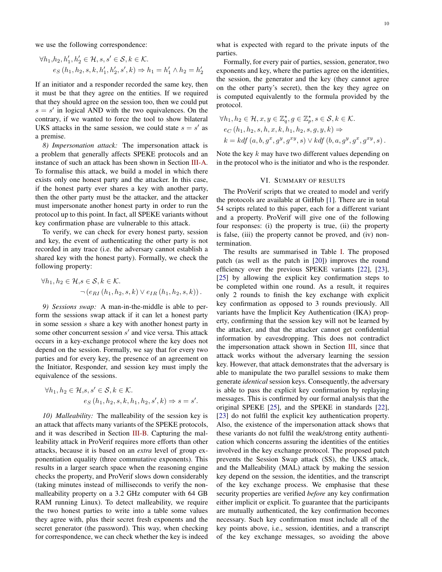we use the following correspondence:

$$
\forall h_1, h_2, h'_1, h'_2 \in \mathcal{H}, s, s' \in \mathcal{S}, k \in \mathcal{K}.
$$
  

$$
e_S(h_1, h_2, s, k, h'_1, h'_2, s', k) \Rightarrow h_1 = h'_1 \land h_2 = h'_2
$$

If an initiator and a responder recorded the same key, then it must be that they agree on the entities. If we required that they should agree on the session too, then we could put  $s = s'$  in logical AND with the two equivalences. On the contrary, if we wanted to force the tool to show bilateral UKS attacks in the same session, we could state  $s = s'$  as a premise.

*8) Impersonation attack:* The impersonation attack is a problem that generally affects SPEKE protocols and an instance of such an attack has been shown in Section [III-A.](#page-3-2) To formalise this attack, we build a model in which there exists only one honest party and the attacker. In this case, if the honest party ever shares a key with another party, then the other party must be the attacker, and the attacker must impersonate another honest party in order to run the protocol up to this point. In fact, all SPEKE variants without key confirmation phase are vulnerable to this attack.

To verify, we can check for every honest party, session and key, the event of authenticating the other party is not recorded in any trace (i.e. the adversary cannot establish a shared key with the honest party). Formally, we check the following property:

$$
\forall h_1, h_2 \in \mathcal{H}, s \in \mathcal{S}, k \in \mathcal{K}.
$$

$$
\neg (e_{RI}(h_1, h_2, s, k) \lor e_{IR}(h_1, h_2, s, k)).
$$

*9) Sessions swap:* A man-in-the-middle is able to perform the sessions swap attack if it can let a honest party in some session s share a key with another honest party in some other concurrent session  $s'$  and vice versa. This attack occurs in a key-exchange protocol where the key does not depend on the session. Formally, we say that for every two parties and for every key, the presence of an agreement on the Initiator, Responder, and session key must imply the equivalence of the sessions.

$$
\forall h_1, h_2 \in \mathcal{H}, s, s' \in \mathcal{S}, k \in \mathcal{K}.
$$
  

$$
e_S(h_1, h_2, s, k, h_1, h_2, s', k) \Rightarrow s = s'.
$$

*10) Malleability:* The malleability of the session key is an attack that affects many variants of the SPEKE protocols, and it was described in Section [III-B.](#page-4-1) Capturing the malleability attack in ProVerif requires more efforts than other attacks, because it is based on an *extra* level of group exponentiation equality (three commutative exponents). This results in a larger search space when the reasoning engine checks the property, and ProVerif slows down considerably (taking minutes instead of milliseconds to verify the nonmalleability property on a 3.2 GHz computer with 64 GB RAM running Linux). To detect malleability, we require the two honest parties to write into a table some values they agree with, plus their secret fresh exponents and the secret generator (the password). This way, when checking for correspondence, we can check whether the key is indeed what is expected with regard to the private inputs of the parties.

Formally, for every pair of parties, session, generator, two exponents and key, where the parties agree on the identities, the session, the generator and the key (they cannot agree on the other party's secret), then the key they agree on is computed equivalently to the formula provided by the protocol.

$$
\forall h_1, h_2 \in \mathcal{H}, x, y \in \mathbb{Z}_q^*, g \in \mathbb{Z}_p^*, s \in \mathcal{S}, k \in \mathcal{K}.
$$
  
\n
$$
e_C(h_1, h_2, s, h, x, k, h_1, h_2, s, g, y, k) \Rightarrow
$$
  
\n
$$
k = kdf(a, b, g^x, g^y, g^{xy}, s) \lor kdf(b, a, g^y, g^x, g^{xy}, s).
$$

Note the key  $k$  may have two different values depending on in the protocol who is the initiator and who is the responder.

#### VI. SUMMARY OF RESULTS

The ProVerif scripts that we created to model and verify the protocols are available at GitHub [\[1\]](#page-10-17). There are in total 54 scripts related to this paper, each for a different variant and a property. ProVerif will give one of the following four responses: (i) the property is true, (ii) the property is false, (iii) the property cannot be proved, and (iv) nontermination.

The results are summarised in Table [I.](#page-10-18) The proposed patch (as well as the patch in [\[20\]](#page-11-7)) improves the round efficiency over the previous SPEKE variants [\[22\]](#page-11-0), [\[23\]](#page-11-1), [\[25\]](#page-11-3) by allowing the explicit key confirmation steps to be completed within one round. As a result, it requires only 2 rounds to finish the key exchange with explicit key confirmation as opposed to 3 rounds previously. All variants have the Implicit Key Authentication (IKA) property, confirming that the session key will not be learned by the attacker, and that the attacker cannot get confidential information by eavesdropping. This does not contradict the impersonation attack shown in Section [III,](#page-3-3) since that attack works without the adversary learning the session key. However, that attack demonstrates that the adversary is able to manipulate the two parallel sessions to make them generate *identical* session keys. Consequently, the adversary is able to pass the explicit key confirmation by replaying messages. This is confirmed by our formal analysis that the original SPEKE [\[25\]](#page-11-3), and the SPEKE in standards [\[22\]](#page-11-0), [\[23\]](#page-11-1) do not fulfil the explicit key authentication property. Also, the existence of the impersonation attack shows that these variants do not fulfil the weak/strong entity authentication which concerns assuring the identities of the entities involved in the key exchange protocol. The proposed patch prevents the Session Swap attack (SS), the UKS attack, and the Malleability (MAL) attack by making the session key depend on the session, the identities, and the transcript of the key exchange process. We emphasise that these security properties are verified *before* any key confirmation either implicit or explicit. To guarantee that the participants are mutually authenticated, the key confirmation becomes necessary. Such key confirmation must include all of the key points above, i.e., session, identities, and a transcript of the key exchange messages, so avoiding the above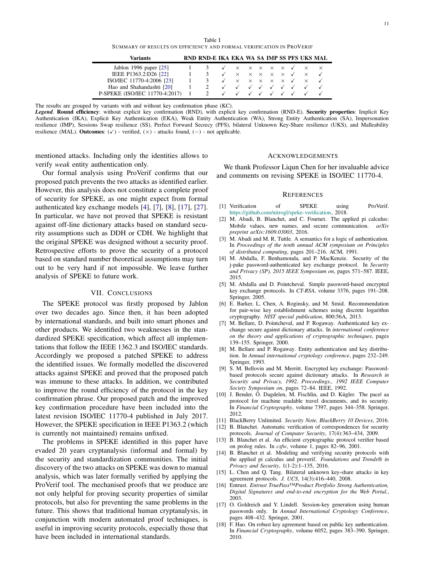Table I SUMMARY OF RESULTS ON EFFICIENCY AND FORMAL VERIFICATION IN PROVERIF

| <b>Variants</b>                | RND RND-E IKA EKA WA SA IMP SS PFS UKS MAL |                                                                           |  |  |  |  |
|--------------------------------|--------------------------------------------|---------------------------------------------------------------------------|--|--|--|--|
| Jablon 1996 paper $[25]$       |                                            | $\sqrt{X}$ x x x x x $\sqrt{X}$ x x                                       |  |  |  |  |
| IEEE P1363.2:D26 [22]          |                                            | $\sqrt{X}$ $\times$ $\times$ $\times$ $\times$ $\times$ $\times$ $\times$ |  |  |  |  |
| ISO/IEC 11770-4:2006 [23]      |                                            | $\sqrt{X}$ $\times$ $\times$ $\times$ $\times$ $\times$ $\times$          |  |  |  |  |
| Hao and Shahandashti [20]      |                                            | <b>√ √ √ √ √ √ √</b> √                                                    |  |  |  |  |
| P-SPEKE (ISO/IEC 11770-4:2017) |                                            | √ √ √ √ √ √ √ √ √                                                         |  |  |  |  |

<span id="page-10-18"></span>The results are grouped by variants with and without key confirmation phase (KC).

*Legend*. Round efficiency: without explicit key confirmation (RND), with explicit key confirmation (RND-E). Security properties: Implicit Key Authentication (IKA), Explicit Key Authentication (EKA), Weak Entity Authentication (WA), Strong Entity Authentication (SA), Impersonation resilience (IMP), Sessions Swap resilience (SS), Perfect Forward Secrecy (PFS), bilateral Unknown Key-Share resilience (UKS), and Malleability resilience (MAL). Outcomes:  $(√)$  - verified,  $(×)$  - attacks found,  $(−)$  - not applicable.

mentioned attacks. Including only the identities allows to verify *weak* entity authentication only.

#### ACKNOWLEDGEMENTS

We thank Professor Liqun Chen for her invaluable advice and comments on revising SPEKE in ISO/IEC 11770-4.

## **REFERENCES**

- <span id="page-10-17"></span>[1] Verification of SPEKE using ProVerif. [https://github.com/nitrogl/speke-verification,](https://github.com/nitrogl/speke-verification) 2018.
- <span id="page-10-12"></span>M. Abadi, B. Blanchet, and C. Fournet. The applied pi calculus: Mobile values, new names, and secure communication. *arXiv preprint arXiv:1609.03003*, 2016.
- <span id="page-10-15"></span>[3] M. Abadi and M. R. Tuttle. A semantics for a logic of authentication. In *Proceedings of the tenth annual ACM symposium on Principles of distributed computing*, pages 201–216. ACM, 1991.
- <span id="page-10-6"></span>[4] M. Abdalla, F. Benhamouda, and P. MacKenzie. Security of the j-pake password-authenticated key exchange protocol. In *Security and Privacy (SP), 2015 IEEE Symposium on*, pages 571–587. IEEE, 2015.
- <span id="page-10-3"></span>[5] M. Abdalla and D. Pointcheval. Simple password-based encrypted key exchange protocols. In *CT-RSA*, volume 3376, pages 191–208. Springer, 2005.
- <span id="page-10-10"></span>[6] E. Barker, L. Chen, A. Roginsky, and M. Smid. Recommendation for pair-wise key establishment schemes using discrete logarithm cryptography. *NIST special publication*, 800:56A, 2013.
- <span id="page-10-7"></span>[7] M. Bellare, D. Pointcheval, and P. Rogaway. Authenticated key exchange secure against dictionary attacks. In *international conference on the theory and applications of cryptographic techniques*, pages 139–155. Springer, 2000.
- <span id="page-10-5"></span>[8] M. Bellare and P. Rogaway. Entity authentication and key distribution. In *Annual international cryptology conference*, pages 232–249. Springer, 1993.
- <span id="page-10-0"></span>[9] S. M. Bellovin and M. Merritt. Encrypted key exchange: Passwordbased protocols secure against dictionary attacks. In *Research in Security and Privacy, 1992. Proceedings., 1992 IEEE Computer Society Symposium on*, pages 72–84. IEEE, 1992.
- <span id="page-10-4"></span>[10] J. Bender, Ö. Dagdelen, M. Fischlin, and D. Kügler. The pace| aa protocol for machine readable travel documents, and its security. In *Financial Cryptography*, volume 7397, pages 344–358. Springer, 2012.
- <span id="page-10-14"></span><span id="page-10-1"></span>[11] BlackBerry Unlimited. *Security Note, BlackBerry 10 Devices*, 2016.
- [12] B. Blanchet. Automatic verification of correspondences for security protocols. *Journal of Computer Security*, 17(4):363–434, 2009.
- <span id="page-10-11"></span>[13] B. Blanchet et al. An efficient cryptographic protocol verifier based on prolog rules. In *csfw*, volume 1, pages 82–96, 2001.
- <span id="page-10-13"></span>[14] B. Blanchet et al. Modeling and verifying security protocols with the applied pi calculus and proverif. *Foundations and Trends® in Privacy and Security*, 1(1-2):1–135, 2016.
- <span id="page-10-16"></span>[15] L. Chen and Q. Tang. Bilateral unknown key-share attacks in key agreement protocols. *J. UCS*, 14(3):416–440, 2008.
- <span id="page-10-2"></span>[16] Entrust. *Entrust TruePass™Product Portfolio Strong Authentication, Digital Signatures and end-to-end encryption for the Web Portal.*, 2003.
- <span id="page-10-8"></span>[17] O. Goldreich and Y. Lindell. Session-key generation using human passwords only. In *Annual International Cryptology Conference*, pages 408–432. Springer, 2001.
- <span id="page-10-9"></span>[18] F. Hao. On robust key agreement based on public key authentication. In *Financial Cryptography*, volume 6052, pages 383–390. Springer, 2010.

Our formal analysis using ProVerif confirms that our proposed patch prevents the two attacks as identified earlier. However, this analysis does not constitute a complete proof of security for SPEKE, as one might expect from formal authenticated key exchange models [\[4\]](#page-10-6), [\[7\]](#page-10-7), [\[8\]](#page-10-5), [\[17\]](#page-10-8), [\[27\]](#page-11-11). In particular, we have not proved that SPEKE is resistant against off-line dictionary attacks based on standard security assumptions such as DDH or CDH. We highlight that the original SPEKE was designed without a security proof. Retrospective efforts to prove the security of a protocol based on standard number theoretical assumptions may turn out to be very hard if not impossible. We leave further analysis of SPEKE to future work.

#### VII. CONCLUSIONS

The SPEKE protocol was firstly proposed by Jablon over two decades ago. Since then, it has been adopted by international standards, and built into smart phones and other products. We identified two weaknesses in the standardized SPEKE specification, which affect all implementations that follow the IEEE 1362.3 and ISO/IEC standards. Accordingly we proposed a patched SPEKE to address the identified issues. We formally modelled the discovered attacks against SPEKE and proved that the proposed patch was immune to these attacks. In addition, we contributed to improve the round efficiency of the protocol in the key confirmation phrase. Our proposed patch and the improved key confirmation procedure have been included into the latest revision ISO/IEC 11770-4 published in July 2017. However, the SPEKE specification in IEEE P1363.2 (which is currently not maintained) remains unfixed.

The problems in SPEKE identified in this paper have evaded 20 years cryptanalysis (informal and formal) by the security and standardization communities. The initial discovery of the two attacks on SPEKE was down to manual analysis, which was later formally verified by applying the ProVerif tool. The mechanised proofs that we produce are not only helpful for proving security properties of similar protocols, but also for preventing the same problems in the future. This shows that traditional human cryptanalysis, in conjunction with modern automated proof techniques, is useful in improving security protocols, especially those that have been included in international standards.